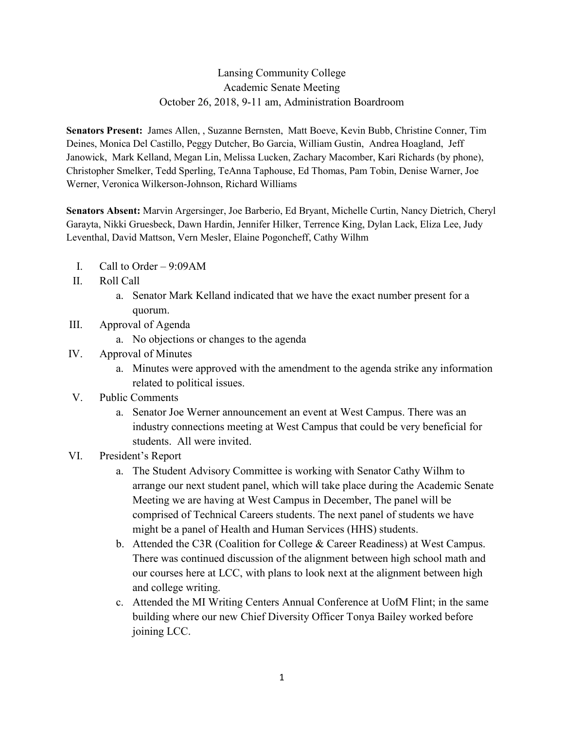## Lansing Community College Academic Senate Meeting October 26, 2018, 9-11 am, Administration Boardroom

**Senators Present:** James Allen, , Suzanne Bernsten, Matt Boeve, Kevin Bubb, Christine Conner, Tim Deines, Monica Del Castillo, Peggy Dutcher, Bo Garcia, William Gustin, Andrea Hoagland, Jeff Janowick, Mark Kelland, Megan Lin, Melissa Lucken, Zachary Macomber, Kari Richards (by phone), Christopher Smelker, Tedd Sperling, TeAnna Taphouse, Ed Thomas, Pam Tobin, Denise Warner, Joe Werner, Veronica Wilkerson-Johnson, Richard Williams

**Senators Absent:** Marvin Argersinger, Joe Barberio, Ed Bryant, Michelle Curtin, Nancy Dietrich, Cheryl Garayta, Nikki Gruesbeck, Dawn Hardin, Jennifer Hilker, Terrence King, Dylan Lack, Eliza Lee, Judy Leventhal, David Mattson, Vern Mesler, Elaine Pogoncheff, Cathy Wilhm

- I. Call to Order 9:09AM
- II. Roll Call
	- a. Senator Mark Kelland indicated that we have the exact number present for a quorum.
- III. Approval of Agenda
	- a. No objections or changes to the agenda
- IV. Approval of Minutes
	- a. Minutes were approved with the amendment to the agenda strike any information related to political issues.
- V. Public Comments
	- a. Senator Joe Werner announcement an event at West Campus. There was an industry connections meeting at West Campus that could be very beneficial for students. All were invited.
- VI. President's Report
	- a. The Student Advisory Committee is working with Senator Cathy Wilhm to arrange our next student panel, which will take place during the Academic Senate Meeting we are having at West Campus in December, The panel will be comprised of Technical Careers students. The next panel of students we have might be a panel of Health and Human Services (HHS) students.
	- b. Attended the C3R (Coalition for College & Career Readiness) at West Campus. There was continued discussion of the alignment between high school math and our courses here at LCC, with plans to look next at the alignment between high and college writing.
	- c. Attended the MI Writing Centers Annual Conference at UofM Flint; in the same building where our new Chief Diversity Officer Tonya Bailey worked before joining LCC.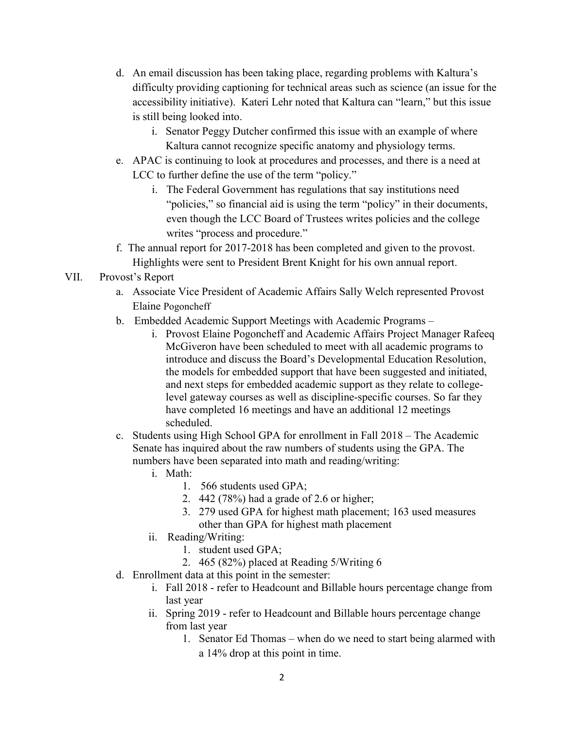- d. An email discussion has been taking place, regarding problems with Kaltura's difficulty providing captioning for technical areas such as science (an issue for the accessibility initiative). Kateri Lehr noted that Kaltura can "learn," but this issue is still being looked into.
	- i. Senator Peggy Dutcher confirmed this issue with an example of where Kaltura cannot recognize specific anatomy and physiology terms.
- e. APAC is continuing to look at procedures and processes, and there is a need at LCC to further define the use of the term "policy."
	- i. The Federal Government has regulations that say institutions need "policies," so financial aid is using the term "policy" in their documents, even though the LCC Board of Trustees writes policies and the college writes "process and procedure."
- f. The annual report for 2017-2018 has been completed and given to the provost. Highlights were sent to President Brent Knight for his own annual report.

## VII. Provost's Report

- a. Associate Vice President of Academic Affairs Sally Welch represented Provost Elaine Pogoncheff
- b. Embedded Academic Support Meetings with Academic Programs
	- i. Provost Elaine Pogoncheff and Academic Affairs Project Manager Rafeeq McGiveron have been scheduled to meet with all academic programs to introduce and discuss the Board's Developmental Education Resolution, the models for embedded support that have been suggested and initiated, and next steps for embedded academic support as they relate to collegelevel gateway courses as well as discipline-specific courses. So far they have completed 16 meetings and have an additional 12 meetings scheduled.
- c. Students using High School GPA for enrollment in Fall 2018 The Academic Senate has inquired about the raw numbers of students using the GPA. The numbers have been separated into math and reading/writing:
	- i. Math:
		- 1. 566 students used GPA;
		- 2. 442 (78%) had a grade of 2.6 or higher;
		- 3. 279 used GPA for highest math placement; 163 used measures other than GPA for highest math placement
	- ii. Reading/Writing:
		- 1. student used GPA;
		- 2. 465 (82%) placed at Reading 5/Writing 6
- d. Enrollment data at this point in the semester:
	- i. Fall 2018 refer to Headcount and Billable hours percentage change from last year
	- ii. Spring 2019 refer to Headcount and Billable hours percentage change from last year
		- 1. Senator Ed Thomas when do we need to start being alarmed with a 14% drop at this point in time.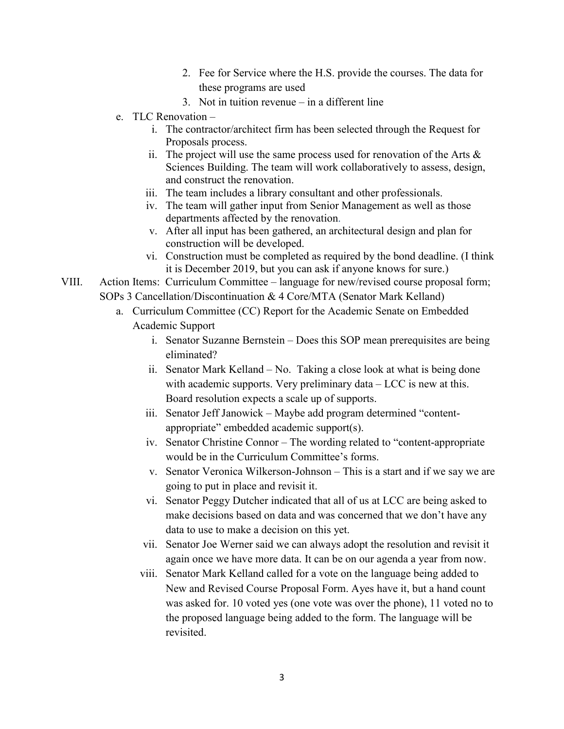- 2. Fee for Service where the H.S. provide the courses. The data for these programs are used
- 3. Not in tuition revenue in a different line
- e. TLC Renovation
	- i. The contractor/architect firm has been selected through the Request for Proposals process.
	- ii. The project will use the same process used for renovation of the Arts  $\&$ Sciences Building. The team will work collaboratively to assess, design, and construct the renovation.
	- iii. The team includes a library consultant and other professionals.
	- iv. The team will gather input from Senior Management as well as those departments affected by the renovation.
	- v. After all input has been gathered, an architectural design and plan for construction will be developed.
	- vi. Construction must be completed as required by the bond deadline. (I think it is December 2019, but you can ask if anyone knows for sure.)
- VIII. Action Items: Curriculum Committee language for new/revised course proposal form; SOPs 3 Cancellation/Discontinuation & 4 Core/MTA (Senator Mark Kelland)
	- a. Curriculum Committee (CC) Report for the Academic Senate on Embedded Academic Support
		- i. Senator Suzanne Bernstein Does this SOP mean prerequisites are being eliminated?
		- ii. Senator Mark Kelland No. Taking a close look at what is being done with academic supports. Very preliminary data – LCC is new at this. Board resolution expects a scale up of supports.
		- iii. Senator Jeff Janowick Maybe add program determined "contentappropriate" embedded academic support(s).
		- iv. Senator Christine Connor The wording related to "content-appropriate would be in the Curriculum Committee's forms.
		- v. Senator Veronica Wilkerson-Johnson This is a start and if we say we are going to put in place and revisit it.
		- vi. Senator Peggy Dutcher indicated that all of us at LCC are being asked to make decisions based on data and was concerned that we don't have any data to use to make a decision on this yet.
		- vii. Senator Joe Werner said we can always adopt the resolution and revisit it again once we have more data. It can be on our agenda a year from now.
		- viii. Senator Mark Kelland called for a vote on the language being added to New and Revised Course Proposal Form. Ayes have it, but a hand count was asked for. 10 voted yes (one vote was over the phone), 11 voted no to the proposed language being added to the form. The language will be revisited.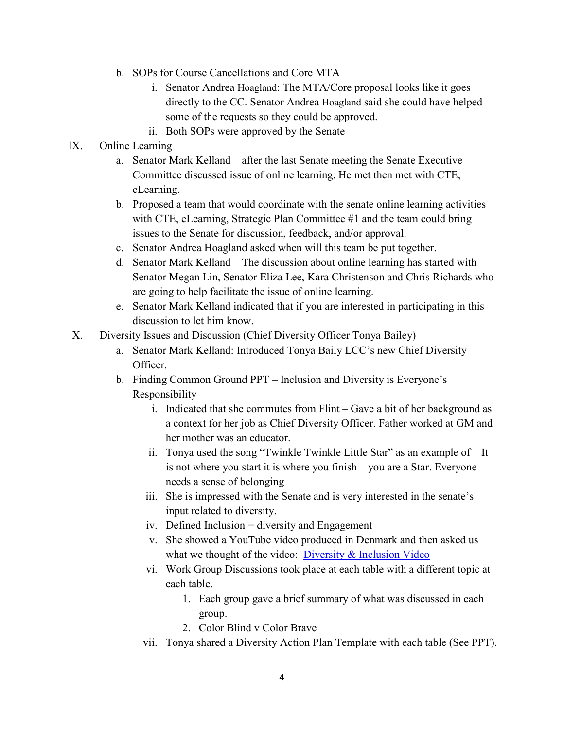- b. SOPs for Course Cancellations and Core MTA
	- i. Senator Andrea Hoagland: The MTA/Core proposal looks like it goes directly to the CC. Senator Andrea Hoagland said she could have helped some of the requests so they could be approved.
	- ii. Both SOPs were approved by the Senate
- IX. Online Learning
	- a. Senator Mark Kelland after the last Senate meeting the Senate Executive Committee discussed issue of online learning. He met then met with CTE, eLearning.
	- b. Proposed a team that would coordinate with the senate online learning activities with CTE, eLearning, Strategic Plan Committee #1 and the team could bring issues to the Senate for discussion, feedback, and/or approval.
	- c. Senator Andrea Hoagland asked when will this team be put together.
	- d. Senator Mark Kelland The discussion about online learning has started with Senator Megan Lin, Senator Eliza Lee, Kara Christenson and Chris Richards who are going to help facilitate the issue of online learning.
	- e. Senator Mark Kelland indicated that if you are interested in participating in this discussion to let him know.
- X. Diversity Issues and Discussion (Chief Diversity Officer Tonya Bailey)
	- a. Senator Mark Kelland: Introduced Tonya Baily LCC's new Chief Diversity Officer.
	- b. Finding Common Ground PPT Inclusion and Diversity is Everyone's Responsibility
		- i. Indicated that she commutes from Flint Gave a bit of her background as a context for her job as Chief Diversity Officer. Father worked at GM and her mother was an educator.
		- ii. Tonya used the song "Twinkle Twinkle Little Star" as an example of It is not where you start it is where you finish – you are a Star. Everyone needs a sense of belonging
		- iii. She is impressed with the Senate and is very interested in the senate's input related to diversity.
		- iv. Defined Inclusion = diversity and Engagement
		- v. She showed a YouTube video produced in Denmark and then asked us what we thought of the video: [Diversity & Inclusion Video](https://www.youtube.com/watch?v=jD8tjhVO1Tc)
		- vi. Work Group Discussions took place at each table with a different topic at each table.
			- 1. Each group gave a brief summary of what was discussed in each group.
			- 2. Color Blind v Color Brave
		- vii. Tonya shared a Diversity Action Plan Template with each table (See PPT).